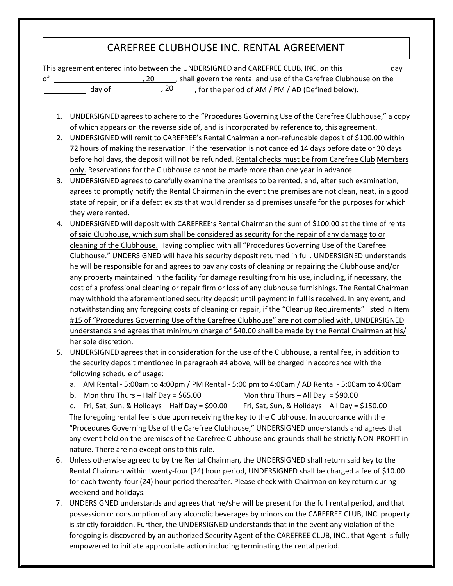## CAREFREE CLUBHOUSE INC. RENTAL AGREEMENT

This agreement entered into between the UNDERSIGNED and CAREFREE CLUB, INC. on this \_\_\_\_\_\_\_\_\_\_\_\_\_ day of , 20 , shall govern the rental and use of the Carefree Clubhouse on the day of  $\qquad \qquad$  , 20  $\frac{1}{\sqrt{1-\frac{1}{\sqrt{1-\frac{1}{\sqrt{1-\frac{1}{\sqrt{1-\frac{1}{\sqrt{1-\frac{1}{\sqrt{1-\frac{1}{\sqrt{1-\frac{1}{\sqrt{1-\frac{1}{\sqrt{1-\frac{1}{\sqrt{1-\frac{1}{\sqrt{1-\frac{1}{\sqrt{1-\frac{1}{\sqrt{1-\frac{1}{\sqrt{1-\frac{1}{\sqrt{1-\frac{1}{\sqrt{1-\frac{1}{\sqrt{1-\frac{1}{\sqrt{1-\frac{1}{\sqrt{1-\frac{1}{\sqrt{1-\frac{1}{\sqrt{1-\frac{1}{\sqrt{1-\frac{1}{\sqrt{1-\frac{1}{\sqrt{1-\frac{1$ 

- 1. UNDERSIGNED agrees to adhere to the "Procedures Governing Use of the Carefree Clubhouse," a copy of which appears on the reverse side of, and is incorporated by reference to, this agreement.
- 2. UNDERSIGNED will remit to CAREFREE's Rental Chairman a non-refundable deposit of \$100.00 within 72 hours of making the reservation. If the reservation is not canceled 14 days before date or 30 days before holidays, the deposit will not be refunded. Rental checks must be from Carefree Club Members only. Reservations for the Clubhouse cannot be made more than one year in advance.
- 3. UNDERSIGNED agrees to carefully examine the premises to be rented, and, after such examination, agrees to promptly notify the Rental Chairman in the event the premises are not clean, neat, in a good state of repair, or if a defect exists that would render said premises unsafe for the purposes for which they were rented.
- 4. UNDERSIGNED will deposit with CAREFREE's Rental Chairman the sum of \$100.00 at the time of rental of said Clubhouse, which sum shall be considered as security for the repair of any damage to or cleaning of the Clubhouse. Having complied with all "Procedures Governing Use of the Carefree Clubhouse." UNDERSIGNED will have his security deposit returned in full. UNDERSIGNED understands he will be responsible for and agrees to pay any costs of cleaning or repairing the Clubhouse and/or any property maintained in the facility for damage resulting from his use, including, if necessary, the cost of a professional cleaning or repair firm or loss of any clubhouse furnishings. The Rental Chairman may withhold the aforementioned security deposit until payment in full is received. In any event, and notwithstanding any foregoing costs of cleaning or repair, if the "Cleanup Requirements" listed in Item #15 of "Procedures Governing Use of the Carefree Clubhouse" are not complied with, UNDERSIGNED understands and agrees that minimum charge of \$40.00 shall be made by the Rental Chairman at his/ her sole discretion.
- 5. UNDERSIGNED agrees that in consideration for the use of the Clubhouse, a rental fee, in addition to the security deposit mentioned in paragraph #4 above, will be charged in accordance with the following schedule of usage:
	- a. AM Rental 5:00am to 4:00pm / PM Rental 5:00 pm to 4:00am / AD Rental 5:00am to 4:00am
	- b. Mon thru Thurs Half Day =  $$65.00$  Mon thru Thurs All Day =  $$90.00$

c. Fri, Sat, Sun, & Holidays – Half Day = \$90.00 Fri, Sat, Sun, & Holidays – All Day = \$150.00 The foregoing rental fee is due upon receiving the key to the Clubhouse. In accordance with the "Procedures Governing Use of the Carefree Clubhouse," UNDERSIGNED understands and agrees that any event held on the premises of the Carefree Clubhouse and grounds shall be strictly NON-PROFIT in nature. There are no exceptions to this rule.

- 6. Unless otherwise agreed to by the Rental Chairman, the UNDERSIGNED shall return said key to the Rental Chairman within twenty-four (24) hour period, UNDERSIGNED shall be charged a fee of \$10.00 for each twenty-four (24) hour period thereafter. Please check with Chairman on key return during weekend and holidays.
- 7. UNDERSIGNED understands and agrees that he/she will be present for the full rental period, and that possession or consumption of any alcoholic beverages by minors on the CAREFREE CLUB, INC. property is strictly forbidden. Further, the UNDERSIGNED understands that in the event any violation of the foregoing is discovered by an authorized Security Agent of the CAREFREE CLUB, INC., that Agent is fully empowered to initiate appropriate action including terminating the rental period.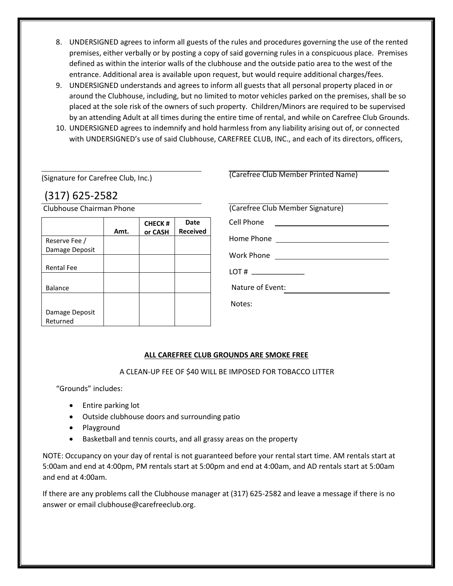- 8. UNDERSIGNED agrees to inform all guests of the rules and procedures governing the use of the rented premises, either verbally or by posting a copy of said governing rules in a conspicuous place. Premises defined as within the interior walls of the clubhouse and the outside patio area to the west of the entrance. Additional area is available upon request, but would require additional charges/fees.
- 9. UNDERSIGNED understands and agrees to inform all guests that all personal property placed in or around the Clubhouse, including, but no limited to motor vehicles parked on the premises, shall be so placed at the sole risk of the owners of such property. Children/Minors are required to be supervised by an attending Adult at all times during the entire time of rental, and while on Carefree Club Grounds.
- 10. UNDERSIGNED agrees to indemnify and hold harmless from any liability arising out of, or connected with UNDERSIGNED's use of said Clubhouse, CAREFREE CLUB, INC., and each of its directors, officers,

(Signature for Carefree Club, Inc.)

(317) 625-2582

Clubhouse Chairman Phone

|                            | Amt. | <b>CHECK#</b><br>or CASH | Date<br><b>Received</b> |
|----------------------------|------|--------------------------|-------------------------|
| Reserve Fee /              |      |                          |                         |
| Damage Deposit             |      |                          |                         |
|                            |      |                          |                         |
| <b>Rental Fee</b>          |      |                          |                         |
|                            |      |                          |                         |
| <b>Balance</b>             |      |                          |                         |
|                            |      |                          |                         |
| Damage Deposit<br>Returned |      |                          |                         |

| (Carefree Club Member Printed Name)                                                                                                 |  |  |
|-------------------------------------------------------------------------------------------------------------------------------------|--|--|
|                                                                                                                                     |  |  |
| (Carefree Club Member Signature)                                                                                                    |  |  |
|                                                                                                                                     |  |  |
| Cell Phone<br><u> Terminal de la propincia de la propincia de la propincia de la propincia de la propincia de la propincia de l</u> |  |  |
|                                                                                                                                     |  |  |
| Work Phone                                                                                                                          |  |  |
| LOT #                                                                                                                               |  |  |
| Nature of Event:                                                                                                                    |  |  |
| Notes:                                                                                                                              |  |  |
|                                                                                                                                     |  |  |

## **ALL CAREFREE CLUB GROUNDS ARE SMOKE FREE**

A CLEAN-UP FEE OF \$40 WILL BE IMPOSED FOR TOBACCO LITTER

"Grounds" includes:

- Entire parking lot
- Outside clubhouse doors and surrounding patio
- Playground
- Basketball and tennis courts, and all grassy areas on the property

NOTE: Occupancy on your day of rental is not guaranteed before your rental start time. AM rentals start at 5:00am and end at 4:00pm, PM rentals start at 5:00pm and end at 4:00am, and AD rentals start at 5:00am and end at 4:00am.

If there are any problems call the Clubhouse manager at (317) 625-2582 and leave a message if there is no answer or email clubhouse@carefreeclub.org.